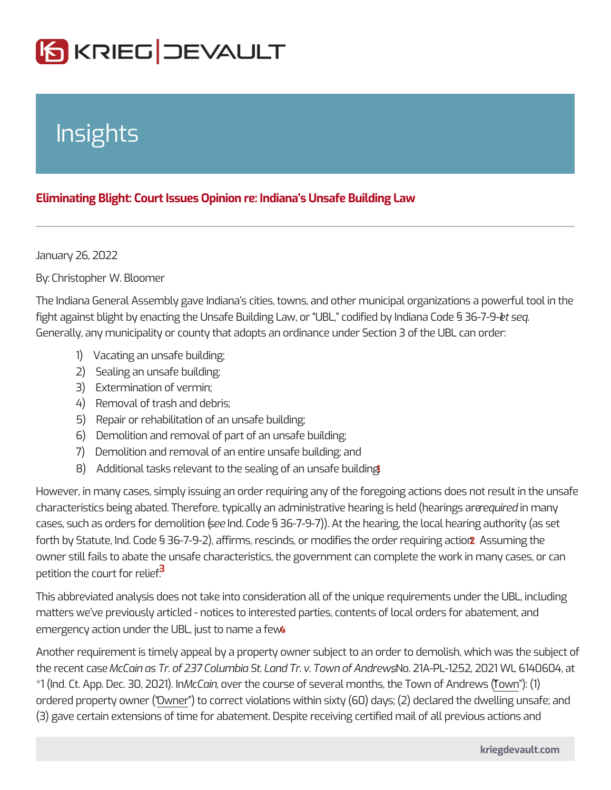## Insights

## Eliminating Blight: Court Issues Opinion re: Indiana s Unsafe Building Law

January 26, 2022

ByChristopher W. Bloomer

The Indiana General Assembly gave Indiana s cities, towns, and other municipal fight against blight by enacting the Unsafe Building Law, or UBL, et csoed quied by In Generally, any municipality or county that adopts an ordinance under Section 3 o

- 1) Vacating an unsafe building;
- 2) Sealing an unsafe building;
- 3) Extermination of vermin;
- 4) Removal of trash and debris;
- 5) Repair or rehabilitation of an unsafe building;
- 6) Demolition and removal of part of an unsafe building;
- 7) Demolition and removal of an entire unsafe building; and
- 8) Additional tasks relevant to the sealing of an unsafe building.

However, in many cases, simply issuing an order requiring any of the foregoing and characteristics being abated. Therefore, typically an administr**aeique reedamiang**yis he cases, such as orders fo $\mathbf s$  edetermolic code  $(\S 36-7-9-7)$ ). At the hearing, the local hear forth by Statute, Ind. Code § 36-7-9-2), affirms, rescinds, or metal ingetheder requiring action. 2 **Assume that the action** owner still fails to abate the unsafe characteristics, the government can complet petition the court  $\frac{3}{4}$  or relief.

This abbreviated analysis does not take into consideration all of the unique requ matters we ve previously articled - notices to interested parties, contents of local emergency action under the UBL, just to name a few.

Another requirement is timely appeal by a property owner subject to an order to the recent Macain as Tr. of 237 Columbia St. Land, The  $v$  2 TA wan lof  $245n2d$  rews 1 WL 6<sup>2</sup>  $*1$  (Ind. Ct. App. DecM80<sub>8</sub> 2002eth)the course of several months, the otwony.n (  $\delta$  ) Andrews  $*1$ ordered property Owner (o correct violations within sixty (60) days; (2) declared (3) gave certain extensions of time for abatement. Despite receiving certified ma